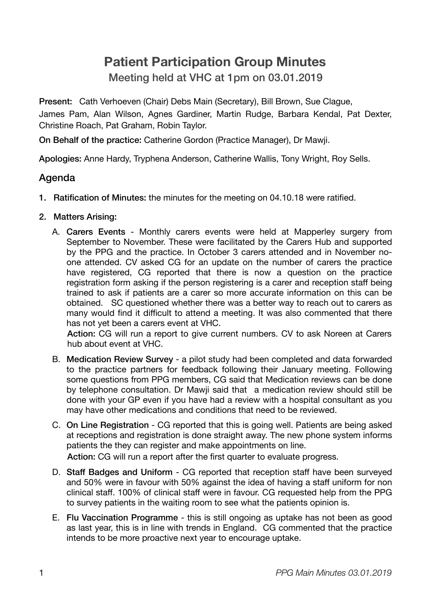## **Patient Participation Group Minutes**

Meeting held at VHC at 1pm on 03.01.2019

Present: Cath Verhoeven (Chair) Debs Main (Secretary), Bill Brown, Sue Clague, James Pam, Alan Wilson, Agnes Gardiner, Martin Rudge, Barbara Kendal, Pat Dexter, Christine Roach, Pat Graham, Robin Taylor.

On Behalf of the practice: Catherine Gordon (Practice Manager), Dr Mawji.

Apologies: Anne Hardy, Tryphena Anderson, Catherine Wallis, Tony Wright, Roy Sells.

## Agenda

- 1. Ratification of Minutes: the minutes for the meeting on 04.10.18 were ratified.
- 2. Matters Arising:
	- A. Carers Events Monthly carers events were held at Mapperley surgery from September to November. These were facilitated by the Carers Hub and supported by the PPG and the practice. In October 3 carers attended and in November noone attended. CV asked CG for an update on the number of carers the practice have registered, CG reported that there is now a question on the practice registration form asking if the person registering is a carer and reception staff being trained to ask if patients are a carer so more accurate information on this can be obtained. SC questioned whether there was a better way to reach out to carers as many would find it difficult to attend a meeting. It was also commented that there has not yet been a carers event at VHC.

Action: CG will run a report to give current numbers. CV to ask Noreen at Carers hub about event at VHC.

- B. Medication Review Survey a pilot study had been completed and data forwarded to the practice partners for feedback following their January meeting. Following some questions from PPG members, CG said that Medication reviews can be done by telephone consultation. Dr Mawji said that a medication review should still be done with your GP even if you have had a review with a hospital consultant as you may have other medications and conditions that need to be reviewed.
- C. On Line Registration CG reported that this is going well. Patients are being asked at receptions and registration is done straight away. The new phone system informs patients the they can register and make appointments on line. Action: CG will run a report after the first quarter to evaluate progress.
- D. Staff Badges and Uniform CG reported that reception staff have been surveyed and 50% were in favour with 50% against the idea of having a staff uniform for non clinical staff. 100% of clinical staff were in favour. CG requested help from the PPG

to survey patients in the waiting room to see what the patients opinion is.

E. Flu Vaccination Programme - this is still ongoing as uptake has not been as good as last year, this is in line with trends in England. CG commented that the practice intends to be more proactive next year to encourage uptake.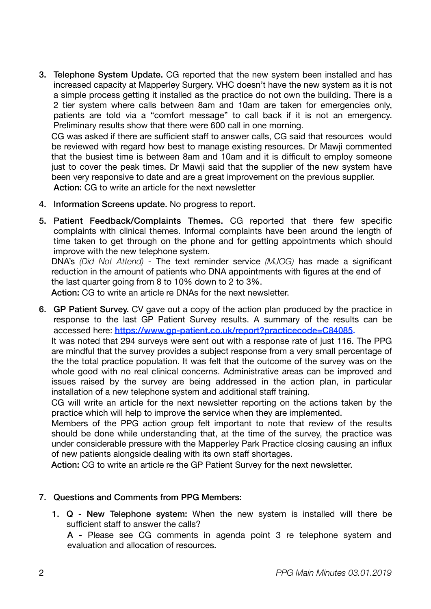3. Telephone System Update. CG reported that the new system been installed and has increased capacity at Mapperley Surgery. VHC doesn't have the new system as it is not a simple process getting it installed as the practice do not own the building. There is a 2 tier system where calls between 8am and 10am are taken for emergencies only, patients are told via a "comfort message" to call back if it is not an emergency. Preliminary results show that there were 600 call in one morning.

CG was asked if there are sufficient staff to answer calls, CG said that resources would be reviewed with regard how best to manage existing resources. Dr Mawji commented that the busiest time is between 8am and 10am and it is difficult to employ someone just to cover the peak times. Dr Mawji said that the supplier of the new system have been very responsive to date and are a great improvement on the previous supplier. Action: CG to write an article for the next newsletter

- 4. Information Screens update. No progress to report.
- 5. Patient Feedback/Complaints Themes. CG reported that there few specific complaints with clinical themes. Informal complaints have been around the length of time taken to get through on the phone and for getting appointments which should improve with the new telephone system.

DNA's *(Did Not Attend)* - The text reminder service *(MJOG)* has made a significant reduction in the amount of patients who DNA appointments with figures at the end of the last quarter going from 8 to 10% down to 2 to 3%.

Action: CG to write an article re DNAs for the next newsletter.

6. GP Patient Survey. CV gave out a copy of the action plan produced by the practice in response to the last GP Patient Survey results. A summary of the results can be accessed here: <https://www.gp-patient.co.uk/report?practicecode=C84085>.

It was noted that 294 surveys were sent out with a response rate of just 116. The PPG are mindful that the survey provides a subject response from a very small percentage of the the total practice population. It was felt that the outcome of the survey was on the whole good with no real clinical concerns. Administrative areas can be improved and issues raised by the survey are being addressed in the action plan, in particular installation of a new telephone system and additional staff training.

CG will write an article for the next newsletter reporting on the actions taken by the practice which will help to improve the service when they are implemented.

Members of the PPG action group felt important to note that review of the results should be done while understanding that, at the time of the survey, the practice was under considerable pressure with the Mapperley Park Practice closing causing an influx of new patients alongside dealing with its own staff shortages.

Action: CG to write an article re the GP Patient Survey for the next newsletter.

## 7. Questions and Comments from PPG Members:

1. Q - New Telephone system: When the new system is installed will there be sufficient staff to answer the calls?

A - Please see CG comments in agenda point 3 re telephone system and evaluation and allocation of resources.